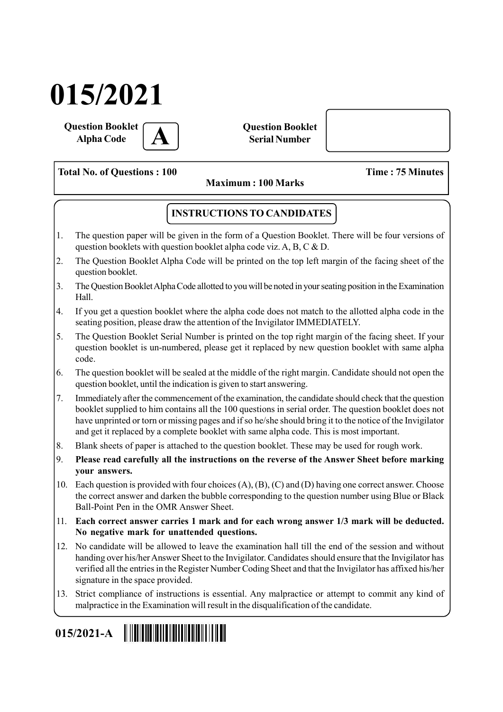# 015/2021

Question Booklet **Alpha Code** 



Question Booklet Serial Number

## Total No. of Ouestions : 100 Time : 75 Minutes

#### Maximum : 100 Marks

# INSTRUCTIONS TO CANDIDATES

- 1. The question paper will be given in the form of a Question Booklet. There will be four versions of question booklets with question booklet alpha code viz. A, B, C & D.
- 2. The Question Booklet Alpha Code will be printed on the top left margin of the facing sheet of the question booklet.
- 3. The Question Booklet Alpha Code allotted to you will be noted in your seating position in the Examination Hall.
- 4. If you get a question booklet where the alpha code does not match to the allotted alpha code in the seating position, please draw the attention of the Invigilator IMMEDIATELY.
- 5. The Question Booklet Serial Number is printed on the top right margin of the facing sheet. If your question booklet is un-numbered, please get it replaced by new question booklet with same alpha code.
- 6. The question booklet will be sealed at the middle of the right margin. Candidate should not open the question booklet, until the indication is given to start answering.
- 7. Immediately after the commencement of the examination, the candidate should check that the question booklet supplied to him contains all the 100 questions in serial order. The question booklet does not have unprinted or torn or missing pages and if so he/she should bring it to the notice of the Invigilator and get it replaced by a complete booklet with same alpha code. This is most important.
- 8. Blank sheets of paper is attached to the question booklet. These may be used for rough work.
- 9. Please read carefully all the instructions on the reverse of the Answer Sheet before marking your answers.
- 10. Each question is provided with four choices (A), (B), (C) and (D) having one correct answer. Choose the correct answer and darken the bubble corresponding to the question number using Blue or Black Ball-Point Pen in the OMR Answer Sheet.
- 11. Each correct answer carries 1 mark and for each wrong answer 1/3 mark will be deducted. No negative mark for unattended questions.
- 12. No candidate will be allowed to leave the examination hall till the end of the session and without handing over his/her Answer Sheet to the Invigilator. Candidates should ensure that the Invigilator has verified all the entries in the Register Number Coding Sheet and that the Invigilator has affixed his/her signature in the space provided.
- 13. Strict compliance of instructions is essential. Any malpractice or attempt to commit any kind of malpractice in the Examination will result in the disqualification of the candidate.

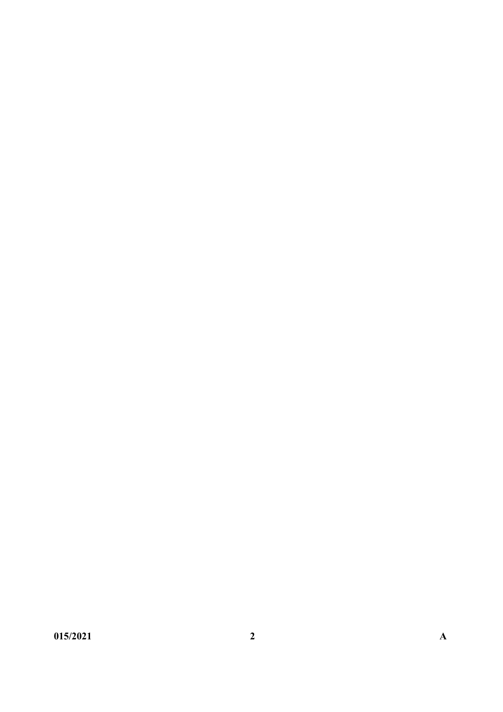$015/2021$  and  $2$  and  $4$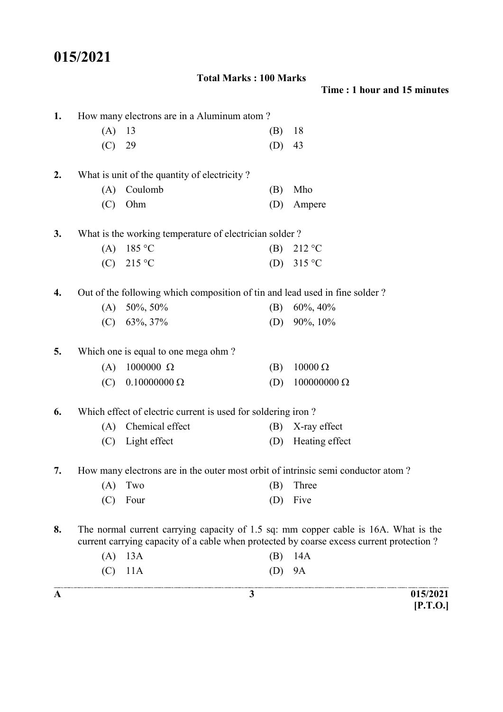# 015/2021

## Total Marks : 100 Marks

Time : 1 hour and 15 minutes

|     |                          | 3                                        | 015/2021<br>[P.T.O.]                                                                                                                                                                                                                                                                                                                                                                                                                                                                                                                                                                                                                                  |
|-----|--------------------------|------------------------------------------|-------------------------------------------------------------------------------------------------------------------------------------------------------------------------------------------------------------------------------------------------------------------------------------------------------------------------------------------------------------------------------------------------------------------------------------------------------------------------------------------------------------------------------------------------------------------------------------------------------------------------------------------------------|
| (C) |                          |                                          | <b>9A</b>                                                                                                                                                                                                                                                                                                                                                                                                                                                                                                                                                                                                                                             |
| (A) | 13A                      | (B)                                      | 14A                                                                                                                                                                                                                                                                                                                                                                                                                                                                                                                                                                                                                                                   |
|     |                          |                                          |                                                                                                                                                                                                                                                                                                                                                                                                                                                                                                                                                                                                                                                       |
|     |                          |                                          |                                                                                                                                                                                                                                                                                                                                                                                                                                                                                                                                                                                                                                                       |
|     |                          |                                          | Five                                                                                                                                                                                                                                                                                                                                                                                                                                                                                                                                                                                                                                                  |
|     |                          |                                          | Three                                                                                                                                                                                                                                                                                                                                                                                                                                                                                                                                                                                                                                                 |
|     |                          |                                          |                                                                                                                                                                                                                                                                                                                                                                                                                                                                                                                                                                                                                                                       |
| (C) | Light effect             | (D)                                      | Heating effect                                                                                                                                                                                                                                                                                                                                                                                                                                                                                                                                                                                                                                        |
| (A) | Chemical effect          | (B)                                      | X-ray effect                                                                                                                                                                                                                                                                                                                                                                                                                                                                                                                                                                                                                                          |
|     |                          |                                          |                                                                                                                                                                                                                                                                                                                                                                                                                                                                                                                                                                                                                                                       |
| (C) | $0.10000000 \Omega$      | (D)                                      | 100000000 Ω                                                                                                                                                                                                                                                                                                                                                                                                                                                                                                                                                                                                                                           |
| (A) | $1000000 \Omega$         | (B)                                      | $10000 \Omega$                                                                                                                                                                                                                                                                                                                                                                                                                                                                                                                                                                                                                                        |
|     |                          |                                          |                                                                                                                                                                                                                                                                                                                                                                                                                                                                                                                                                                                                                                                       |
| (C) |                          |                                          | 90%, 10%                                                                                                                                                                                                                                                                                                                                                                                                                                                                                                                                                                                                                                              |
| (A) | 50%, 50%                 | (B)                                      | 60%, 40%                                                                                                                                                                                                                                                                                                                                                                                                                                                                                                                                                                                                                                              |
|     |                          |                                          |                                                                                                                                                                                                                                                                                                                                                                                                                                                                                                                                                                                                                                                       |
|     |                          |                                          |                                                                                                                                                                                                                                                                                                                                                                                                                                                                                                                                                                                                                                                       |
| (C) | 215 °C                   | (D)                                      | 315 °C                                                                                                                                                                                                                                                                                                                                                                                                                                                                                                                                                                                                                                                |
|     |                          |                                          | 212 °C                                                                                                                                                                                                                                                                                                                                                                                                                                                                                                                                                                                                                                                |
|     |                          |                                          |                                                                                                                                                                                                                                                                                                                                                                                                                                                                                                                                                                                                                                                       |
| (C) | Ohm                      | (D)                                      | Ampere                                                                                                                                                                                                                                                                                                                                                                                                                                                                                                                                                                                                                                                |
| (A) | Coulomb                  | (B)                                      | Mho                                                                                                                                                                                                                                                                                                                                                                                                                                                                                                                                                                                                                                                   |
|     |                          |                                          |                                                                                                                                                                                                                                                                                                                                                                                                                                                                                                                                                                                                                                                       |
|     | 29                       | (D)                                      | 43                                                                                                                                                                                                                                                                                                                                                                                                                                                                                                                                                                                                                                                    |
| (A) | 13                       | (B)                                      | 18                                                                                                                                                                                                                                                                                                                                                                                                                                                                                                                                                                                                                                                    |
|     |                          |                                          |                                                                                                                                                                                                                                                                                                                                                                                                                                                                                                                                                                                                                                                       |
|     | (C)<br>(A)<br>(A)<br>(C) | 185 °C<br>63%, 37%<br>Two<br>Four<br>11A | How many electrons are in a Aluminum atom?<br>What is unit of the quantity of electricity?<br>What is the working temperature of electrician solder?<br>(B)<br>Out of the following which composition of tin and lead used in fine solder?<br>(D)<br>Which one is equal to one mega ohm?<br>Which effect of electric current is used for soldering iron?<br>How many electrons are in the outer most orbit of intrinsic semi conductor atom?<br>(B)<br>(D)<br>The normal current carrying capacity of 1.5 sq: mm copper cable is 16A. What is the<br>current carrying capacity of a cable when protected by coarse excess current protection ?<br>(D) |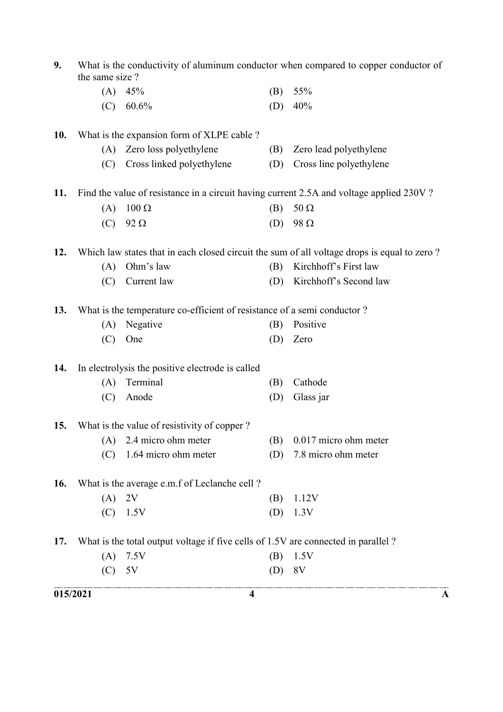|     | 015/2021       |                                                                                   | 4          | A                                                                                           |
|-----|----------------|-----------------------------------------------------------------------------------|------------|---------------------------------------------------------------------------------------------|
|     | (C)            | 5V                                                                                | (D)        | 8V                                                                                          |
|     | (A)            | 7.5V                                                                              | (B)        | 1.5V                                                                                        |
| 17. |                | What is the total output voltage if five cells of 1.5V are connected in parallel? |            |                                                                                             |
|     |                |                                                                                   |            |                                                                                             |
|     | (A)<br>(C)     | 2V<br>1.5V                                                                        | (B)<br>(D) | 1.12V<br>1.3V                                                                               |
| 16. |                | What is the average e.m.f of Leclanche cell?                                      |            |                                                                                             |
|     |                |                                                                                   |            |                                                                                             |
|     | (C)            | 1.64 micro ohm meter                                                              | (D)        | 7.8 micro ohm meter                                                                         |
|     | (A)            | 2.4 micro ohm meter                                                               | (B)        | $0.017$ micro ohm meter                                                                     |
| 15. |                | What is the value of resistivity of copper?                                       |            |                                                                                             |
|     | (C)            | Anode                                                                             | (D)        | Glass jar                                                                                   |
|     | (A)            | Terminal                                                                          | (B)        | Cathode                                                                                     |
| 14. |                | In electrolysis the positive electrode is called                                  |            |                                                                                             |
|     |                |                                                                                   |            |                                                                                             |
|     | (C)            | One                                                                               | (D)        | Zero                                                                                        |
|     | (A)            | Negative                                                                          | (B)        | Positive                                                                                    |
| 13. |                | What is the temperature co-efficient of resistance of a semi conductor?           |            |                                                                                             |
|     | (C)            | Current law                                                                       | (D)        | Kirchhoff's Second law                                                                      |
|     | (A)            | Ohm's law                                                                         | (B)        | Kirchhoff's First law                                                                       |
| 12. |                |                                                                                   |            | Which law states that in each closed circuit the sum of all voltage drops is equal to zero? |
|     |                |                                                                                   |            |                                                                                             |
|     | (C)            | $92 \Omega$                                                                       | (D)        | $98 \Omega$                                                                                 |
|     | (A)            | $100 \Omega$                                                                      | (B)        | $50 \Omega$                                                                                 |
| 11. |                |                                                                                   |            | Find the value of resistance in a circuit having current 2.5A and voltage applied 230V?     |
|     | (C)            | Cross linked polyethylene                                                         | (D)        | Cross line polyethylene                                                                     |
|     | (A)            | Zero loss polyethylene                                                            | (B)        | Zero lead polyethylene                                                                      |
| 10. |                | What is the expansion form of XLPE cable?                                         |            |                                                                                             |
|     |                |                                                                                   |            |                                                                                             |
|     | (A)<br>(C)     | 45%<br>60.6%                                                                      | (B)<br>(D) | 55%<br>40%                                                                                  |
|     | the same size? |                                                                                   |            |                                                                                             |
| 9.  |                |                                                                                   |            | What is the conductivity of aluminum conductor when compared to copper conductor of         |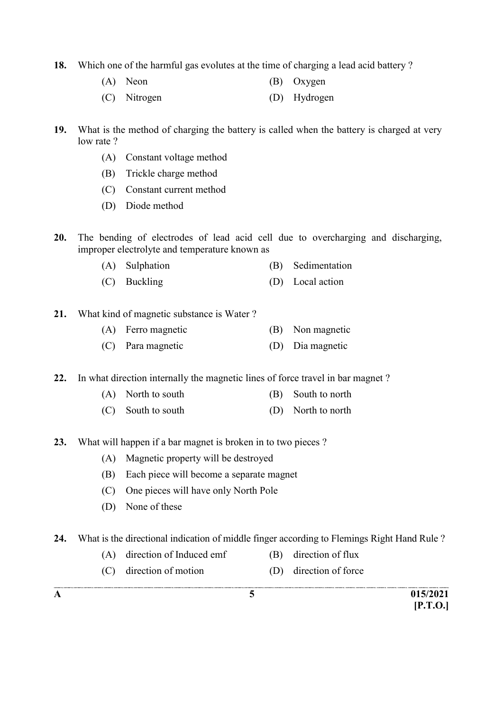- 18. Which one of the harmful gas evolutes at the time of charging a lead acid battery ?
	- (A) Neon (B) Oxygen
	- (C) Nitrogen (D) Hydrogen
- 19. What is the method of charging the battery is called when the battery is charged at very low rate ?
	- (A) Constant voltage method
	- (B) Trickle charge method
	- (C) Constant current method
	- (D) Diode method
- 20. The bending of electrodes of lead acid cell due to overcharging and discharging, improper electrolyte and temperature known as
	- (A) Sulphation (B) Sedimentation
	- (C) Buckling (D) Local action
- 21. What kind of magnetic substance is Water ?
	- (A) Ferro magnetic (B) Non magnetic (C) Para magnetic (D) Dia magnetic
- 22. In what direction internally the magnetic lines of force travel in bar magnet ?
	- (A) North to south (B) South to north
	- (C) South to south (D) North to north
- 23. What will happen if a bar magnet is broken in to two pieces ?
	- (A) Magnetic property will be destroyed
	- (B) Each piece will become a separate magnet
	- (C) One pieces will have only North Pole
	- (D) None of these

24. What is the directional indication of middle finger according to Flemings Right Hand Rule ?

- (A) direction of Induced emf (B) direction of flux
- 
- (C) direction of motion (D) direction of force
	-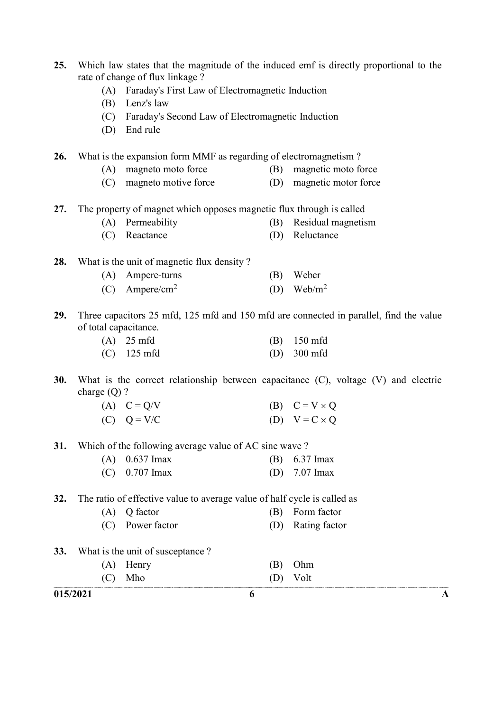|     | 015/2021                        |                                                                                      | 6   | A                                                                                      |  |
|-----|---------------------------------|--------------------------------------------------------------------------------------|-----|----------------------------------------------------------------------------------------|--|
|     | (C)                             | Mho                                                                                  | (D) | Volt                                                                                   |  |
|     | (A)                             | Henry                                                                                | (B) | Ohm                                                                                    |  |
| 33. |                                 | What is the unit of susceptance?                                                     |     |                                                                                        |  |
|     | (C)                             |                                                                                      | (D) | Rating factor                                                                          |  |
|     | (A)                             | Q factor<br>Power factor                                                             | (B) | Form factor                                                                            |  |
| 32. |                                 | The ratio of effective value to average value of half cycle is called as             |     |                                                                                        |  |
|     |                                 |                                                                                      |     |                                                                                        |  |
|     | (C)                             | $0.707$ Imax                                                                         | (D) | 7.07 Imax                                                                              |  |
|     | (A)                             | $0.637$ Imax                                                                         | (B) | 6.37 Imax                                                                              |  |
| 31. |                                 | Which of the following average value of AC sine wave?                                |     |                                                                                        |  |
|     |                                 | $(C)$ $Q = V/C$                                                                      |     | (D) $V = C \times Q$                                                                   |  |
|     |                                 | (A) $C = Q/V$                                                                        |     | (B) $C = V \times Q$                                                                   |  |
| 30. | charge $(Q)$ ?                  |                                                                                      |     | What is the correct relationship between capacitance (C), voltage (V) and electric     |  |
|     |                                 |                                                                                      |     |                                                                                        |  |
|     |                                 | $(C)$ 125 mfd                                                                        | (D) | 300 mfd                                                                                |  |
|     | of total capacitance.           | $(A)$ 25 mfd                                                                         | (B) | $150$ mfd                                                                              |  |
| 29. |                                 |                                                                                      |     | Three capacitors 25 mfd, 125 mfd and 150 mfd are connected in parallel, find the value |  |
|     | (C)                             | Ampere/ $cm2$                                                                        |     | (D) Web/ $m^2$                                                                         |  |
|     | (A)                             | Ampere-turns                                                                         |     | (B) Weber                                                                              |  |
| 28. |                                 | What is the unit of magnetic flux density?                                           |     |                                                                                        |  |
|     |                                 |                                                                                      |     |                                                                                        |  |
|     | (C)                             | Reactance                                                                            | (D) | Reluctance                                                                             |  |
|     | (A)                             | The property of magnet which opposes magnetic flux through is called<br>Permeability | (B) | Residual magnetism                                                                     |  |
| 27. |                                 |                                                                                      |     |                                                                                        |  |
|     | (C)                             | magneto motive force                                                                 |     | (D) magnetic motor force                                                               |  |
|     | (A)                             | magneto moto force                                                                   | (B) | magnetic moto force                                                                    |  |
| 26. |                                 | What is the expansion form MMF as regarding of electromagnetism?                     |     |                                                                                        |  |
|     | (D)                             | End rule                                                                             |     |                                                                                        |  |
|     | (C)                             | Faraday's Second Law of Electromagnetic Induction                                    |     |                                                                                        |  |
|     | (B)                             | Lenz's law                                                                           |     |                                                                                        |  |
|     | (A)                             | Faraday's First Law of Electromagnetic Induction                                     |     |                                                                                        |  |
|     | rate of change of flux linkage? |                                                                                      |     |                                                                                        |  |
| 25. |                                 |                                                                                      |     | Which law states that the magnitude of the induced emf is directly proportional to the |  |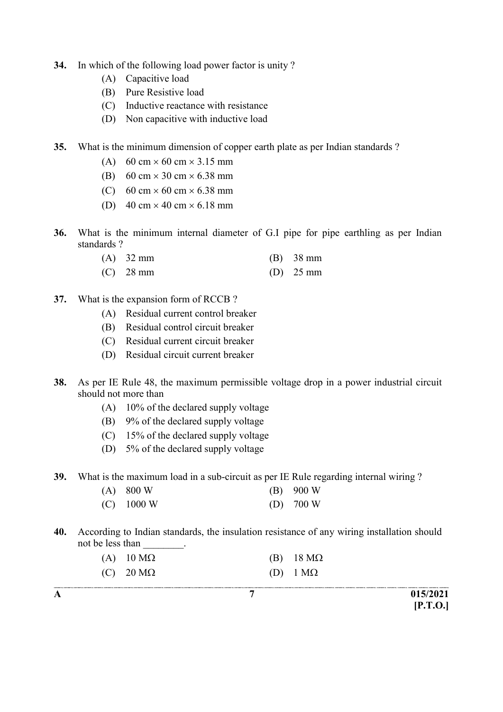- 34. In which of the following load power factor is unity ?
	- (A) Capacitive load
	- (B) Pure Resistive load
	- (C) Inductive reactance with resistance
	- (D) Non capacitive with inductive load
- 35. What is the minimum dimension of copper earth plate as per Indian standards ?
	- (A) 60 cm  $\times$  60 cm  $\times$  3.15 mm
	- (B) 60 cm  $\times$  30 cm  $\times$  6.38 mm
	- (C) 60 cm  $\times$  60 cm  $\times$  6.38 mm
	- (D)  $40 \text{ cm} \times 40 \text{ cm} \times 6.18 \text{ mm}$
- 36. What is the minimum internal diameter of G.I pipe for pipe earthling as per Indian standards ?
	- (A) 32 mm (B) 38 mm
	- (C) 28 mm (D) 25 mm
- 37. What is the expansion form of RCCB ?
	- (A) Residual current control breaker
	- (B) Residual control circuit breaker
	- (C) Residual current circuit breaker
	- (D) Residual circuit current breaker
- 38. As per IE Rule 48, the maximum permissible voltage drop in a power industrial circuit should not more than
	- (A) 10% of the declared supply voltage
	- (B) 9% of the declared supply voltage
	- (C) 15% of the declared supply voltage
	- (D) 5% of the declared supply voltage

39. What is the maximum load in a sub-circuit as per IE Rule regarding internal wiring ?

- (A) 800 W (B) 900 W
- (C) 1000 W (D) 700 W
- 40. According to Indian standards, the insulation resistance of any wiring installation should not be less than  $\qquad \qquad$ .

| (A) $10 \text{ M}\Omega$ | (B) $18 \text{ M}\Omega$ |
|--------------------------|--------------------------|
| (C) $20 \text{ M}\Omega$ | (D) $1 M\Omega$          |
|                          |                          |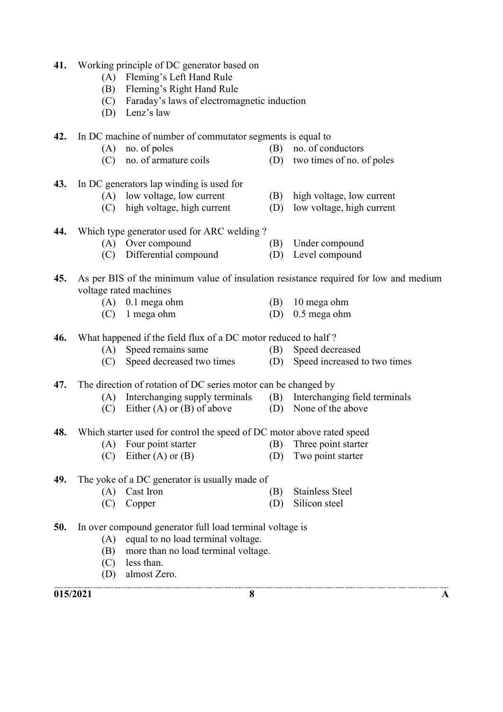- 41. Working principle of DC generator based on
	- (A) Fleming's Left Hand Rule
	- (B) Fleming's Right Hand Rule
	- (C) Faraday's laws of electromagnetic induction
	- (D) Lenz's law

42. In DC machine of number of commutator segments is equal to

- (A) no. of poles (B) no. of conductors
- (C) no. of armature coils (D) two times of no. of poles
- 43. In DC generators lap winding is used for
	- (A) low voltage, low current (B) high voltage, low current
- - (C) high voltage, high current (D) low voltage, high current
- 
- 44. Which type generator used for ARC welding ?
	- (A) Over compound (B) Under compound
	- (C) Differential compound (D) Level compound
- 45. As per BIS of the minimum value of insulation resistance required for low and medium voltage rated machines
	- (A) 0.1 mega ohm (B) 10 mega ohm
	- (C) 1 mega ohm (D) 0.5 mega ohm

46. What happened if the field flux of a DC motor reduced to half ?

- (A) Speed remains same (B) Speed decreased
- (C) Speed decreased two times (D) Speed increased to two times
- 47. The direction of rotation of DC series motor can be changed by
	- (A) Interchanging supply terminals (B) Interchanging field terminals
	- (C) Either  $(A)$  or  $(B)$  of above (D) None of the above
- 48. Which starter used for control the speed of DC motor above rated speed
	- (A) Four point starter (B) Three point starter
	- (C) Either  $(A)$  or  $(B)$  (D) Two point starter
- -
- 49. The yoke of a DC generator is usually made of
	- (A) Cast Iron (B) Stainless Steel
	- (C) Copper (D) Silicon steel
- 50. In over compound generator full load terminal voltage is
	- (A) equal to no load terminal voltage.
	- (B) more than no load terminal voltage.
	- (C) less than.
	- (D) almost Zero.

 $015/2021$  and  $8$  and  $4$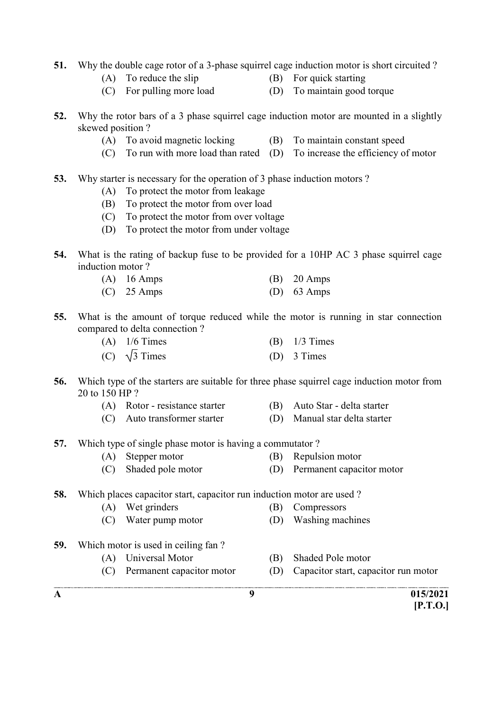- 51. Why the double cage rotor of a 3-phase squirrel cage induction motor is short circuited ?
	- (A) To reduce the slip (B) For quick starting
- - (C) For pulling more load (D) To maintain good torque
- 52. Why the rotor bars of a 3 phase squirrel cage induction motor are mounted in a slightly skewed position ?
	- (A) To avoid magnetic locking (B) To maintain constant speed
	- (C) To run with more load than rated (D) To increase the efficiency of motor
- 53. Why starter is necessary for the operation of 3 phase induction motors ?
	- (A) To protect the motor from leakage
	- (B) To protect the motor from over load
	- (C) To protect the motor from over voltage
	- (D) To protect the motor from under voltage
- 54. What is the rating of backup fuse to be provided for a 10HP AC 3 phase squirrel cage induction motor ?

| $(A)$ 16 Amps | $(B)$ 20 Amps |
|---------------|---------------|
| $(C)$ 25 Amps | (D) $63$ Amps |

55. What is the amount of torque reduced while the motor is running in star connection compared to delta connection ?

| $(A)$ 1/6 Times      |  | $(B)$ 1/3 Times |
|----------------------|--|-----------------|
| (C) $\sqrt{3}$ Times |  | $(D)$ 3 Times   |

- 56. Which type of the starters are suitable for three phase squirrel cage induction motor from 20 to 150 HP ?
	- (A) Rotor resistance starter (B) Auto Star delta starter
	- (C) Auto transformer starter (D) Manual star delta starter
- 57. Which type of single phase motor is having a commutator ?
	- (A) Stepper motor (B) Repulsion motor
	-
- 
- (C) Shaded pole motor (D) Permanent capacitor motor

### 58. Which places capacitor start, capacitor run induction motor are used ?

- (A) Wet grinders (B) Compressors
- (C) Water pump motor (D) Washing machines
- 59. Which motor is used in ceiling fan ?
	-
	-
	- (A) Universal Motor (B) Shaded Pole motor
	- (C) Permanent capacitor motor (D) Capacitor start, capacitor run motor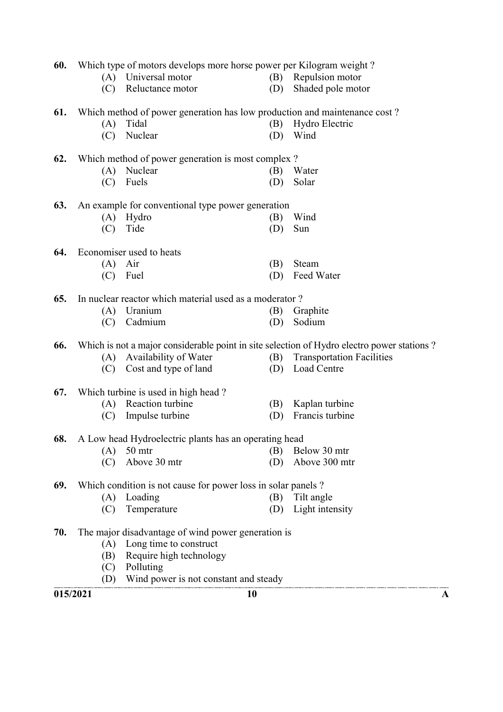| 60. |          | Which type of motors develops more horse power per Kilogram weight?       |     |                                                                                            |
|-----|----------|---------------------------------------------------------------------------|-----|--------------------------------------------------------------------------------------------|
|     |          | (A) Universal motor                                                       | (B) | Repulsion motor                                                                            |
|     | (C)      | Reluctance motor                                                          | (D) | Shaded pole motor                                                                          |
| 61. |          | Which method of power generation has low production and maintenance cost? |     |                                                                                            |
|     | (A)      | Tidal                                                                     | (B) | Hydro Electric                                                                             |
|     | (C)      | Nuclear                                                                   | (D) | Wind                                                                                       |
| 62. |          | Which method of power generation is most complex?                         |     |                                                                                            |
|     |          | (A) Nuclear                                                               | (B) | Water                                                                                      |
|     | (C)      | Fuels                                                                     | (D) | Solar                                                                                      |
| 63. |          | An example for conventional type power generation                         |     |                                                                                            |
|     | (A)      | Hydro                                                                     | (B) | Wind                                                                                       |
|     | (C)      | Tide                                                                      | (D) | Sun                                                                                        |
| 64. |          | Economiser used to heats                                                  |     |                                                                                            |
|     | (A)      | Air                                                                       | (B) | Steam                                                                                      |
|     | (C)      | Fuel                                                                      | (D) | Feed Water                                                                                 |
| 65. |          | In nuclear reactor which material used as a moderator?                    |     |                                                                                            |
|     |          | (A) Uranium                                                               | (B) | Graphite                                                                                   |
|     | (C)      | Cadmium                                                                   | (D) | Sodium                                                                                     |
| 66. |          |                                                                           |     | Which is not a major considerable point in site selection of Hydro electro power stations? |
|     |          | (A) Availability of Water                                                 | (B) | <b>Transportation Facilities</b>                                                           |
|     | (C)      | Cost and type of land                                                     | (D) | Load Centre                                                                                |
| 67. |          | Which turbine is used in high head?                                       |     |                                                                                            |
|     |          | (A) Reaction turbine                                                      | (B) | Kaplan turbine                                                                             |
|     | (C)      | Impulse turbine                                                           | (D) | Francis turbine                                                                            |
| 68. |          | A Low head Hydroelectric plants has an operating head                     |     |                                                                                            |
|     | (A)      | 50 mtr                                                                    | (B) | Below 30 mtr                                                                               |
|     | (C)      | Above 30 mtr                                                              | (D) | Above 300 mtr                                                                              |
| 69. |          | Which condition is not cause for power loss in solar panels?              |     |                                                                                            |
|     | (A)      | Loading                                                                   | (B) | Tilt angle                                                                                 |
|     | (C)      | Temperature                                                               | (D) | Light intensity                                                                            |
| 70. |          | The major disadvantage of wind power generation is                        |     |                                                                                            |
|     | (A)      | Long time to construct                                                    |     |                                                                                            |
|     | (B)      | Require high technology                                                   |     |                                                                                            |
|     | (C)      | Polluting                                                                 |     |                                                                                            |
|     | (D)      | Wind power is not constant and steady                                     |     |                                                                                            |
|     | 015/2021 |                                                                           | 10  | A                                                                                          |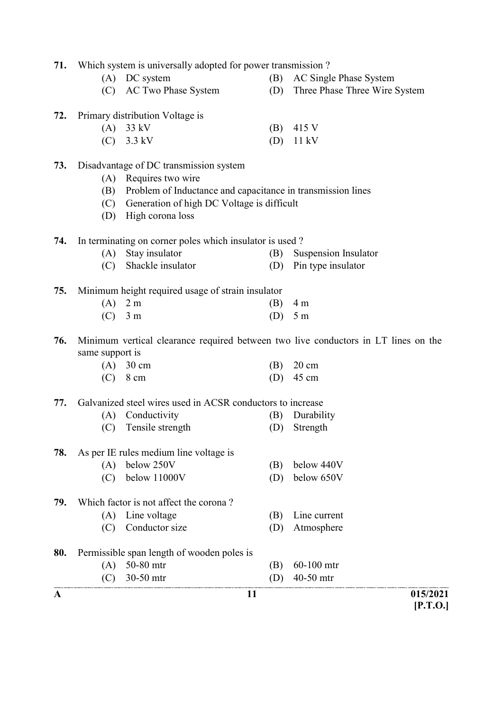| $\mathbf A$ |                 |                                                                                                               | 11  | 015/2021<br>[P.T.O.]                                                               |
|-------------|-----------------|---------------------------------------------------------------------------------------------------------------|-----|------------------------------------------------------------------------------------|
|             | (C)             | 30-50 mtr                                                                                                     | (D) | 40-50 mtr                                                                          |
|             | (A)             | 50-80 mtr                                                                                                     | (B) | 60-100 mtr                                                                         |
| 80.         |                 | Permissible span length of wooden poles is                                                                    |     |                                                                                    |
|             |                 |                                                                                                               |     |                                                                                    |
|             | (C)             | Conductor size                                                                                                | (D) | Atmosphere                                                                         |
| 79.         | (A)             | Which factor is not affect the corona?<br>Line voltage                                                        | (B) | Line current                                                                       |
|             |                 |                                                                                                               |     |                                                                                    |
|             | (C)             | below 11000V                                                                                                  | (D) | below 650V                                                                         |
|             | (A)             | below 250V                                                                                                    | (B) | below 440V                                                                         |
| 78.         |                 | As per IE rules medium line voltage is                                                                        |     |                                                                                    |
|             |                 | (C) Tensile strength                                                                                          |     | (D) Strength                                                                       |
|             |                 | (A) Conductivity                                                                                              | (B) | Durability                                                                         |
| 77.         |                 | Galvanized steel wires used in ACSR conductors to increase                                                    |     |                                                                                    |
|             |                 |                                                                                                               |     |                                                                                    |
|             |                 | $(C)$ 8 cm                                                                                                    | (D) | 45 cm                                                                              |
|             | (A)             | $30 \text{ cm}$                                                                                               | (B) | $20 \text{ cm}$                                                                    |
| 76.         | same support is |                                                                                                               |     | Minimum vertical clearance required between two live conductors in LT lines on the |
|             |                 | $(C)$ 3 m                                                                                                     | (D) | 5 <sub>m</sub>                                                                     |
|             | (A)             | 2 <sub>m</sub>                                                                                                | (B) | 4 <sub>m</sub>                                                                     |
| 75.         |                 | Minimum height required usage of strain insulator                                                             |     |                                                                                    |
|             |                 |                                                                                                               |     |                                                                                    |
|             | (C)             | Shackle insulator                                                                                             | (D) | Pin type insulator                                                                 |
| 74.         | (A)             | In terminating on corner poles which insulator is used?<br>Stay insulator                                     | (B) | Suspension Insulator                                                               |
|             |                 |                                                                                                               |     |                                                                                    |
|             |                 | (D) High corona loss                                                                                          |     |                                                                                    |
|             | (C)             | (B) Problem of Inductance and capacitance in transmission lines<br>Generation of high DC Voltage is difficult |     |                                                                                    |
|             |                 | (A) Requires two wire                                                                                         |     |                                                                                    |
| 73.         |                 | Disadvantage of DC transmission system                                                                        |     |                                                                                    |
|             |                 | $(C)$ 3.3 kV                                                                                                  | (D) | 11 kV                                                                              |
|             |                 | $(A)$ 33 kV                                                                                                   | (B) | 415 V                                                                              |
| 72.         |                 | Primary distribution Voltage is                                                                               |     |                                                                                    |
|             |                 | (C) AC Two Phase System                                                                                       | (D) | Three Phase Three Wire System                                                      |
|             |                 |                                                                                                               |     |                                                                                    |
|             |                 | (A) DC system                                                                                                 | (B) | AC Single Phase System                                                             |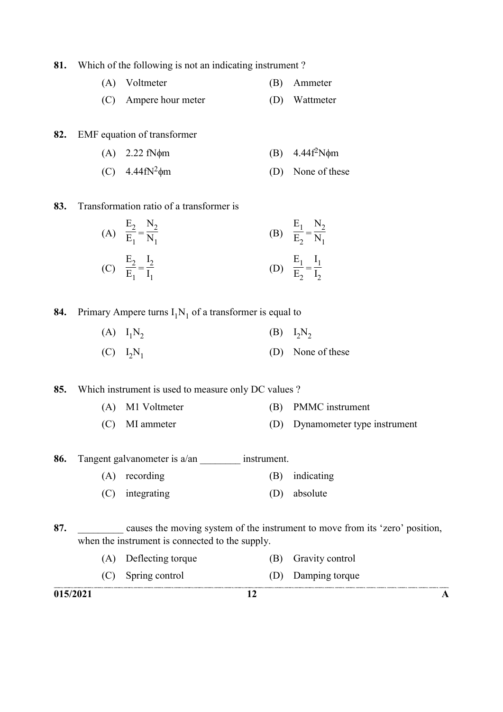- 81. Which of the following is not an indicating instrument ?
	- (A) Voltmeter (B) Ammeter
	- (C) Ampere hour meter (D) Wattmeter
- 82. EMF equation of transformer
	- (A)  $2.22 \text{ fN}\phi\text{m}$  (B)  $4.44 \text{ f}^2\text{N}\phi\text{m}$
	- (C)  $4.44$ fN<sup>2</sup> $\phi$ m (D) None of these
- 83. Transformation ratio of a transformer is

(A) 
$$
\frac{E_2}{E_1} = \frac{N_2}{N_1}
$$
  
\n(B)  $\frac{E_1}{E_2} = \frac{N_2}{N_1}$   
\n(C)  $\frac{E_2}{E_1} = \frac{I_2}{I_1}$   
\n(D)  $\frac{E_1}{E_2} = \frac{I_1}{I_2}$ 

- **84.** Primary Ampere turns  $I_1N_1$  of a transformer is equal to
	- $(A)$   $I_1N_2$ (B)  $I_2N_2$ (C)  $I_2N_1$ (D) None of these

85. Which instrument is used to measure only DC values ?

- (A) M1 Voltmeter (B) PMMC instrument
- (C) MI ammeter (D) Dynamometer type instrument
- 86. Tangent galvanometer is a/an instrument.
	- (A) recording (B) indicating
	- (C) integrating (D) absolute
- 87. \_\_\_\_\_\_\_\_\_ causes the moving system of the instrument to move from its 'zero' position, when the instrument is connected to the supply.

| 015/2021 |                       |                     |
|----------|-----------------------|---------------------|
|          | (C) Spring control    | (D) Damping torque  |
|          | (A) Deflecting torque | (B) Gravity control |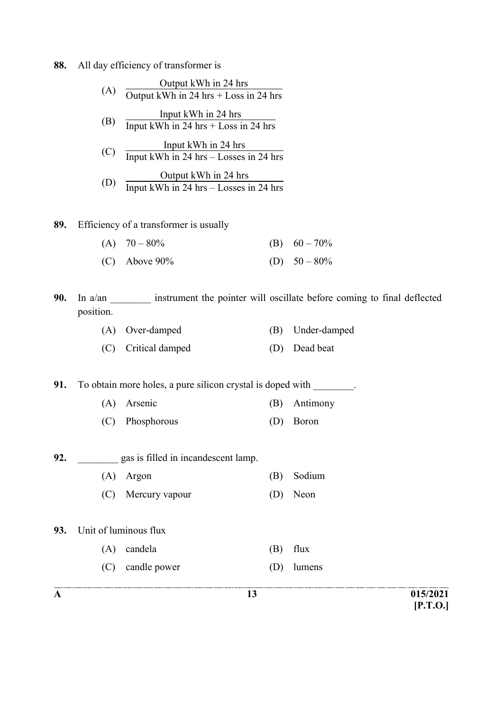88. All day efficiency of transformer is

|     | $\mathbf{u}$ $\mathbf{u}$ $\mathbf{v}$ | instrument the nointer will escallete hefere                     |                 |
|-----|----------------------------------------|------------------------------------------------------------------|-----------------|
|     |                                        | $(C)$ Above 90%                                                  | (D) $50 - 80\%$ |
|     |                                        | (A) $70 - 80\%$<br>(B)                                           | $60 - 70\%$     |
| 89. |                                        | Efficiency of a transformer is usually                           |                 |
|     | (D)                                    | Output kWh in 24 hrs<br>Input kWh in $24$ hrs - Losses in 24 hrs |                 |
|     | (C)                                    | Input kWh in 24 hrs<br>Input kWh in 24 hrs - Losses in 24 hrs    |                 |
|     | (B)                                    | Input kWh in 24 hrs<br>Input kWh in $24$ hrs + Loss in $24$ hrs  |                 |
|     | (A)                                    | Output kWh in 24 hrs<br>Output kWh in $24$ hrs + Loss in 24 hrs  |                 |

90. In a/an \_\_\_\_\_\_\_\_ instrument the pointer will oscillate before coming to final deflected position.

| (A) Over-damped     | (B) Under-damped |
|---------------------|------------------|
| (C) Critical damped | (D) Dead beat    |

91. To obtain more holes, a pure silicon crystal is doped with  $\qquad \qquad$ .

- (A) Arsenic (B) Antimony (C) Phosphorous (D) Boron
- 92. gas is filled in incandescent lamp.
	- (A) Argon (B) Sodium
		- (C) Mercury vapour (D) Neon
- 93. Unit of luminous flux
	- (A) candela (B) flux
	- (C) candle power (D) lumens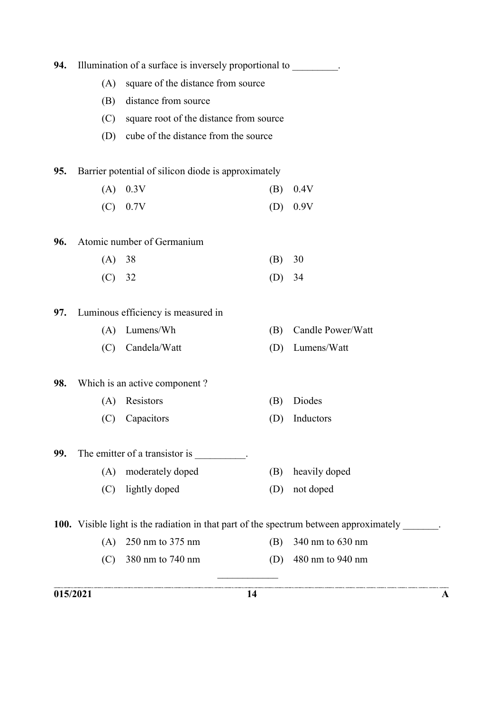| 015/2021 |     |                                                        | 14  |                                                                                                | A |
|----------|-----|--------------------------------------------------------|-----|------------------------------------------------------------------------------------------------|---|
|          | (C) | 380 nm to 740 nm                                       | (D) | 480 nm to 940 nm                                                                               |   |
|          | (A) | 250 nm to 375 nm                                       | (B) | 340 nm to 630 nm                                                                               |   |
|          |     |                                                        |     | 100. Visible light is the radiation in that part of the spectrum between approximately ______. |   |
|          | (C) | lightly doped                                          | (D) | not doped                                                                                      |   |
|          |     |                                                        |     |                                                                                                |   |
| 99.      | (A) | The emitter of a transistor is .<br>moderately doped   | (B) | heavily doped                                                                                  |   |
|          |     |                                                        |     |                                                                                                |   |
|          | (C) | Capacitors                                             | (D) | Inductors                                                                                      |   |
|          | (A) | Resistors                                              | (B) | Diodes                                                                                         |   |
| 98.      |     | Which is an active component?                          |     |                                                                                                |   |
|          | (C) | Candela/Watt                                           | (D) | Lumens/Watt                                                                                    |   |
|          | (A) | Lumens/Wh                                              | (B) | Candle Power/Watt                                                                              |   |
| 97.      |     | Luminous efficiency is measured in                     |     |                                                                                                |   |
|          | (C) | 32                                                     | (D) | 34                                                                                             |   |
|          | (A) | 38                                                     | (B) | 30                                                                                             |   |
| 96.      |     | Atomic number of Germanium                             |     |                                                                                                |   |
|          |     |                                                        |     |                                                                                                |   |
|          | (C) | 0.7V                                                   | (D) | 0.9V                                                                                           |   |
|          | (A) | 0.3V                                                   | (B) | 0.4V                                                                                           |   |
| 95.      |     | Barrier potential of silicon diode is approximately    |     |                                                                                                |   |
|          | (D) | cube of the distance from the source                   |     |                                                                                                |   |
|          | (C) | square root of the distance from source                |     |                                                                                                |   |
|          | (B) | distance from source                                   |     |                                                                                                |   |
|          | (A) | square of the distance from source                     |     |                                                                                                |   |
| 94.      |     | Illumination of a surface is inversely proportional to |     |                                                                                                |   |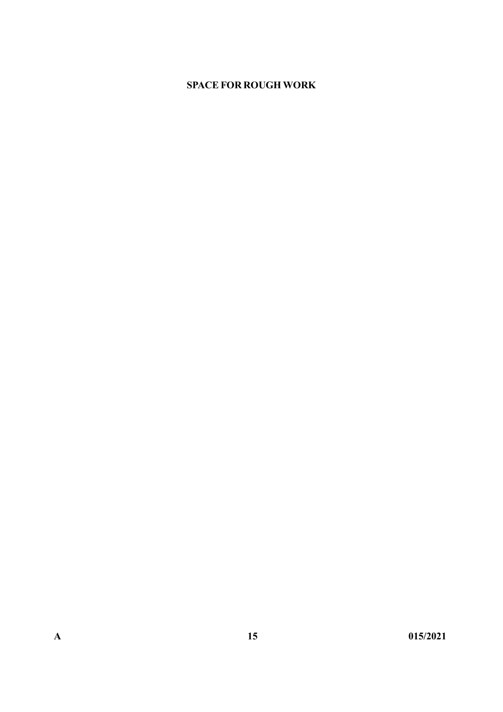# SPACE FOR ROUGH WORK